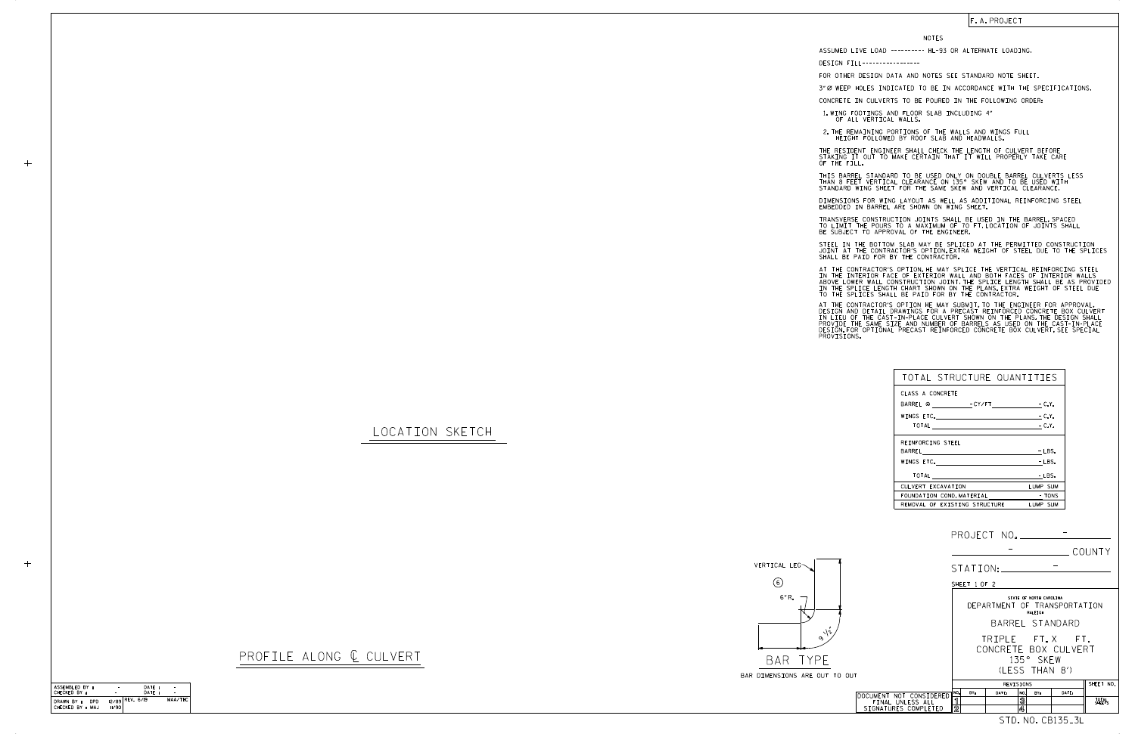DATE : DATE :

CHECKED BY : ASSEMBLED BY :

|       |                                                                     |                               |                                                                    |          |                                     |                              |                                         | COUNTY          |  |
|-------|---------------------------------------------------------------------|-------------------------------|--------------------------------------------------------------------|----------|-------------------------------------|------------------------------|-----------------------------------------|-----------------|--|
|       |                                                                     |                               |                                                                    | STATION: |                                     |                              |                                         |                 |  |
|       |                                                                     |                               | SHEET 1 OF 2                                                       |          |                                     |                              |                                         |                 |  |
|       |                                                                     |                               | STATE OF NORTH CAROLINA<br>DEPARTMENT OF TRANSPORTATION<br>RALEIGH |          |                                     |                              |                                         |                 |  |
|       |                                                                     |                               |                                                                    |          |                                     |                              | BARREL STANDARD                         |                 |  |
| O OUT |                                                                     |                               |                                                                    |          |                                     | 135° SKFW<br>(1 FSS THAN 8') | TRIPLE FT.X FT.<br>CONCRETE BOX CULVERT |                 |  |
|       |                                                                     | SHEET NO.<br>REVISIONS        |                                                                    |          |                                     |                              |                                         |                 |  |
|       | DOCUMENT NOT CONSIDERED<br>FINAL UNLESS ALL<br>SIGNATURES COMPLETED | NO.<br>ิ์ 1<br>$\overline{2}$ | BY:                                                                | DATE:    | NO.<br>$\overline{\mathbf{3}}$<br>4 | RY:                          | DATE:                                   | TOTAL<br>SHEETS |  |
|       |                                                                     |                               |                                                                    |          |                                     |                              | STD.NO.CB135_3L                         |                 |  |

CHECKED BY : MAJ DRAWN BY : DPD 12/89 11/90

REV. 6/19 - -

–−<br>MAA/THC

-

 $+$ 

LOCATION SKETCH

 $+$ 



PROFILE ALONG  $C$  CULVERT

STEEL IN THE BOTTOM SLAB MAY BE SPLICED AT THE PERMITTED CONSTRUCTION JOINT AT THE CONTRACTOR'S OPTION.EXTRA WEIGHT OF STEEL DUE TO THE SPLICES<br>SHALL BE PAID FOR BY THE CONTRACTOR.

| TOTAL STRUCTURE QUANTITIES                    |          |
|-----------------------------------------------|----------|
| CLASS A CONCRETE                              |          |
| BARREL @ - CY/FT - C.Y.                       |          |
| WINGS ETC. <u>__________________</u>          | $-C.Y.$  |
|                                               | $-C.Y.$  |
| REINFORCING STEEL                             |          |
|                                               | $-LBS.$  |
| WINGS ETC.                                    | - LBS.   |
| $\begin{tabular}{c} \bf{10TAL} \end{tabular}$ | - LBS.   |
| CULVERT EXCAVATION                            | LUMP SUM |
| FOUNDATION COND. MATERIAL                     | - TONS   |
| REMOVAL OF EXISTING STRUCTURE                 | LUMP SUM |

## F. A. PROJECT

## NOTES

DESIGN FILL-----------------

FOR OTHER DESIGN DATA AND NOTES SEE STANDARD NOTE SHEET.

3" Ø WEEP HOLES INDICATED TO BE IN ACCORDANCE WITH THE SPECIFICATIONS.

CONCRETE IN CULVERTS TO BE POURED IN THE FOLLOWING ORDER:

1.WING FOOTINGS AND FLOOR SLAB INCLUDING 4"<br>OF ALL VERTICAL WALLS.

2.THE REMAINING PORTIONS OF THE WALLS AND WINGS FULL<br>HEIGHT FOLLOWED BY ROOF SLAB AND HEADWALLS.

THE RESIDENT ENGINEER SHALL CHECK THE LENGTH OF CULVERT BEFORE<br>STAKING IT OUT TO MAKE CERTAIN THAT IT WILL PROPERLY TAKE CARE<br>OF THE FILL.

IN THE INTERIOR FACE OF EXTERIOR WALL AND BOTH FACES OF INTERIOR WALLS<br>ABOVE LOWER WALL CONSTRUCTION JOINT.THE SPLICE LENGTH SHALL BE AS PROVIDED<br>IN THE SPLICE LENGTH CHART SHOWN ON THE PLANS.EXTRA WEIGHT OF STEEL DUE<br>TO T AT THE CONTRACTOR'S OPTION, HE MAY SPLICE THE VERTICAL REINFORCING STEEL

AT THE CONTRACTOR'S OPTION HE MAY SUBMIT, TO THE ENGINEER FOR APPROVAL,<br>DESIGN AND DETAIL DRAWINGS FOR A PRECAST REINFORCED CONCRETE BOX CULVERT<br>IN LIEU OF THE CAST-IN-PLACE CULVERT SHOWN ON THE PLANS.THE DESIGN SHALL<br>PROV

STANDARD WING SHEET FOR THE SAME SKEW AND VERTICAL CLEARANCE. THIS BARREL STANDARD TO BE USED ONLY ON DOUBLE BARREL CULVERTS LESS THAN 8 FEET VERTICAL CLEARANCE ON 135° SKEW AND TO BE USED WITH

DIMENSIONS FOR WING LAYOUT AS WELL AS ADDITIONAL REINFORCING STEEL<br>EMBEDDED IN BARREL ARE SHOWN ON WING SHEET.

TRANSVERSE CONSTRUCTION JOINTS SHALL BE USED IN THE BARREL,SPACED<br>TO LIMIT THE POURS TO A MAXIMUM OF 70 FT.LOCATION OF JOINTS SHALL<br>BE SUBJECT TO APPROVAL OF THE ENGINEER.

ASSUMED LIVE LOAD ---------- HL-93 OR ALTERNATE LOADING.